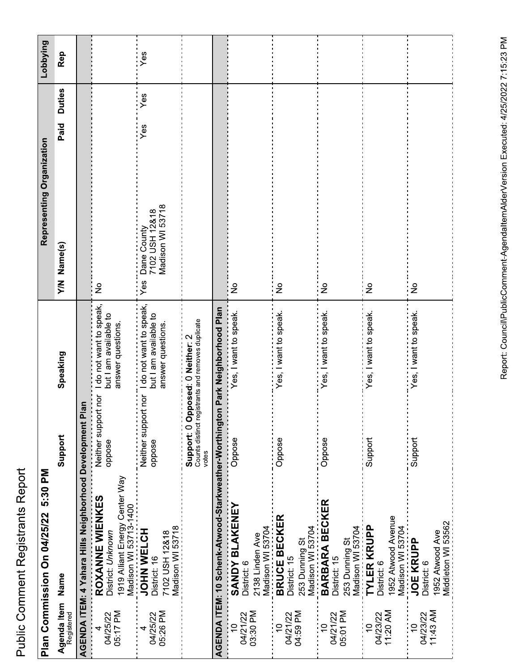| Č                          |
|----------------------------|
| ֧֓֕֓֓֓֓֓֓֓׆֧֧֬֬֬<br>į<br>Ì |
| י המה<br>i                 |
|                            |

|                                        | Plan Commission On 04/25/22 5:30 PM                                                                                  |                                               |                                                                       | Representing Organization                                |                       | Lobbying |
|----------------------------------------|----------------------------------------------------------------------------------------------------------------------|-----------------------------------------------|-----------------------------------------------------------------------|----------------------------------------------------------|-----------------------|----------|
| Registered                             | Agenda Item<br>Name                                                                                                  | Support                                       | Speaking                                                              | Y/N Name(s)                                              | <b>Duties</b><br>Paid | Rep      |
|                                        | AGENDA ITEM: 4 Yahara Hills Neighborhood Development Pl                                                              | $\overline{a}$                                |                                                                       |                                                          |                       |          |
| 05:17 PM<br>04/25/22                   | 1919 Alliant Energy Center Way<br>Madison WI 53713-1400<br><b>JOHN WELCH</b><br>ROXANNE WIENKES<br>District: Unknown | Neither support nor<br>oppose                 | I do not want to speak,<br>but I am available to<br>answer questions. | $\frac{1}{2}$                                            |                       |          |
| 05:26 PM<br>04/25/22                   | Madison WI 53718<br>7102 USH 12&18<br>District: 16                                                                   | Neither support nor<br>oppose                 | I do not want to speak,<br>but I am available to<br>answer questions. | Madison WI 53718<br>7102 USH 12&18<br>Dane County<br>Yes | Yes<br>Yes            | Yes      |
|                                        |                                                                                                                      | Support: 0 Op<br>Counts distinct reg<br>votes | istrants and removes duplicate<br>posed: 0 Neither: 2                 |                                                          |                       |          |
|                                        | AGENDA ITEM: 10 Schenk-Atwood-Starkweather-Worthingtor                                                               |                                               | n Park Neighborhood Plan                                              |                                                          |                       |          |
| 03:30 PM<br>04/21/22<br>$\overline{C}$ | <b>SANDY BLAKENEY</b><br>Madison WI 53704<br>2138 Linden Ave<br>District: 6                                          | Oppose                                        | Yes, I want to speak.                                                 | ş                                                        |                       |          |
| 04:59 PM<br>04/21/22                   | <b>BRUCE BECKER</b><br>Madison WI 53704<br>253 Dunning St<br>District: 15                                            | Oppose                                        | Yes, I want to speak.                                                 | $\frac{1}{2}$                                            |                       |          |
| 05:01 PM<br>04/21/22                   | <b>BARBARA BECKER</b><br>Madison WI 53704<br>253 Dunning St<br>District: 15                                          | Oppose                                        | Yes, I want to speak.                                                 | $\frac{1}{2}$                                            |                       |          |
| 11:20 AM<br>04/23/22                   | 952 Atwood Avenue<br><b>TYLER KRUPP</b><br>Madison WI 53704<br>District: 6                                           | Support                                       | Yes, I want to speak.                                                 | $\frac{1}{2}$                                            |                       |          |
| 11:43 AM<br>04/23/22<br>$\overline{C}$ | Middleton WI 53562<br>1952 Atwood Ave<br><b>JOE KRUPP</b><br>District: 6                                             | Support                                       | Yes, I want to speak.                                                 | $\frac{1}{2}$                                            |                       |          |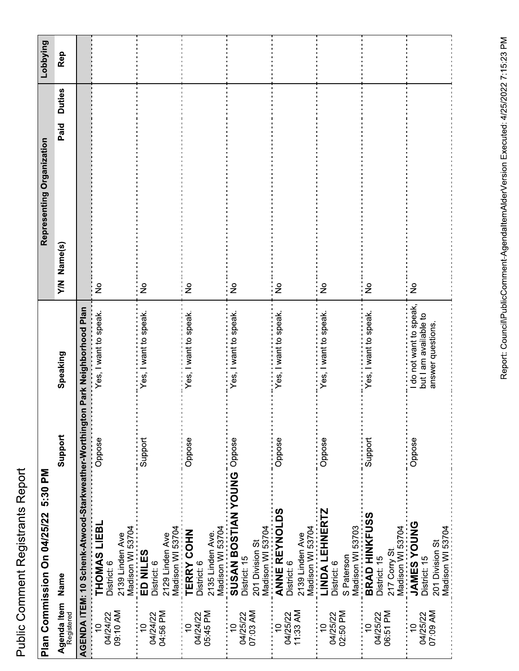|                                                   | Plan Commission On 04/25/22 5:30 PM                                                                   |         |                                                                     | Representing Organization |               | Lobbying |
|---------------------------------------------------|-------------------------------------------------------------------------------------------------------|---------|---------------------------------------------------------------------|---------------------------|---------------|----------|
| Agenda Item<br>Name<br>Registered                 |                                                                                                       | Support | Speaking                                                            | Paid<br>Name(s)<br>XΜ     | <b>Duties</b> | Rep      |
|                                                   | AGENDA ITEM: 10 Schenk-Atwood-Starkweather-Worthingto                                                 |         | n Park Neighborhood Plan                                            |                           |               |          |
| 09:10 AM<br>04/24/22<br>$\overline{a}$            | THOMAS LIEBL<br>2139 Linden Ave<br>District: 6                                                        | Oppose  | Yes, I want to speak.                                               | $\frac{1}{2}$             |               |          |
| 04:56 PM<br>04/24/22                              | Madison WI 53704<br><b>ED NILES</b><br>2129 Linden Ave<br>District: 6                                 | Support | es, I want to speak                                                 | $\frac{1}{2}$             |               |          |
| 05:45 PM<br>04/24/22                              | Madison WI 53704<br>TERRY COHN<br>2135 Linden Ave.<br>District: 6                                     | Oppose  | es, I want to speak                                                 | $\frac{1}{2}$             |               |          |
| 07:03 AM<br>04/25/22                              | Madison WI 53704<br>SUSAN BOSTIAN YOUNG Oppose<br>Madison WI 53704<br>201 Division St<br>District: 15 |         | es, I want to speak.                                                | ş                         |               |          |
| 11:33 AM<br>04/25/22                              | ANNE REYNOLDS<br>Madison WI 53704<br>2139 Linden Ave<br>District: 6                                   | Oppose  | Yes, I want to speak.                                               | $\frac{1}{2}$             |               |          |
| 02:50 PM<br>04/25/22<br>$\overline{C}$            | <b>LINDA LEHNERTZ</b><br>Madison WI 53703<br>S Paterson<br>District: 6                                | Oppose  | Yes, I want to speak.                                               | $\frac{1}{2}$             |               |          |
| 06:51 PM<br>04/25/22<br>$\tilde{=}$               | <b>BRAD HINKFUSS</b><br>Madison WI 53704<br>217 Corry St<br>District: 15                              | Support | Yes, I want to speak.                                               | $\frac{1}{2}$             |               |          |
| 07:09 AM<br>04/25/22<br>$\widetilde{\phantom{a}}$ | <b>JAMES YOUNG</b><br>Madison WI 53704<br>201 Division St<br>District: 15                             | Oppose  | do not want to speak,<br>but I am available to<br>answer questions. | $\frac{1}{2}$             |               |          |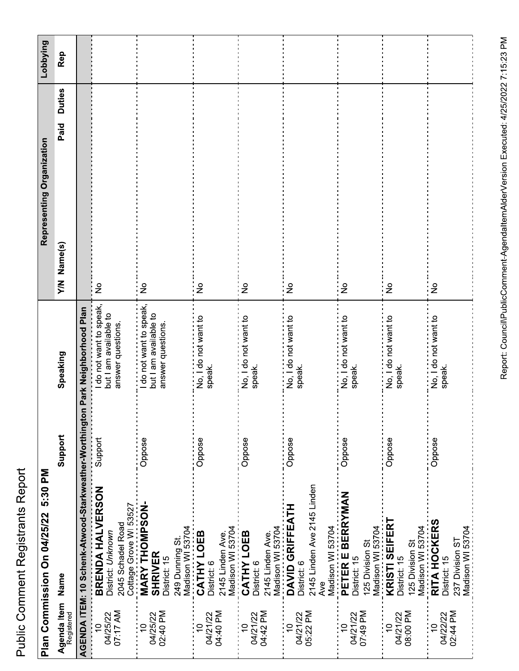|                             | Plan Commission On 04/25/22 5:30 PM                                                                               |         |                                                                     | Representing Organization |               | Lobbying |
|-----------------------------|-------------------------------------------------------------------------------------------------------------------|---------|---------------------------------------------------------------------|---------------------------|---------------|----------|
| Agenda Item<br>Registered   | Name                                                                                                              | Support | Speaking                                                            | Paid<br>Name(s)<br>XΙX    | <b>Duties</b> | Rep      |
|                             | AGENDA ITEM: 10 Schenk-Atwood-Starkweather-Worthington Park Neighborhood Plan                                     |         |                                                                     |                           |               |          |
| 07:17 AM<br>04/25/22        | BRENDA HALVERSON<br>2045 Schadel Road<br>District: Unknown                                                        | Support | do not want to speak<br>but I am available to<br>answer questions.  | $\frac{1}{2}$             |               |          |
| 02:40 PM<br>04/25/22        | Cottage Grove WI 53527<br><b>MARY THOMPSON-</b><br>Madison WI 53704<br>249 Dunning St.<br>SHRIVER<br>District: 15 | Oppose  | do not want to speak,<br>but I am available to<br>answer questions. | $\frac{1}{2}$             |               |          |
| <b>Nd 04:40</b><br>04/21/22 | Madison WI 53704<br>CATHY LOEB<br>2145 Linden Ave.<br>District: 6                                                 | Oppose  | No, I do not want to<br>speak.                                      | $\frac{1}{2}$             |               |          |
| 04/21/22<br>04:42 PM        | CATHY LOEB<br>2145 Linden Ave.<br>District: 6                                                                     | Oppose  | No, I do not want to<br>speak.                                      | ş                         |               |          |
| 05:22 PM<br>04/21/22        | 2145 Linden Ave 2145 Linden<br>Madison WI 53704<br>DAVID GRIFFEATH<br>Madison WI 53704<br>District: 6<br>Ave      | Oppose  | speak.                                                              | $\frac{1}{2}$             |               |          |
| 07:49 PM<br>04/21/22        | PETER E BERRYMAN<br>125 Division St<br>District: 15                                                               | Oppose  | No, I do not want to<br>speak.                                      | $\frac{1}{2}$             |               |          |
| 08:00 PM<br>04/21/22        | Madison WI 53704<br>KRISTI SEIFERT<br>Madison WI 53704<br>125 Division St<br>District: 15                         | Oppose  | No, I do not want to<br>speak.                                      | i 9                       |               |          |
| 02:44 PM<br>04/22/22        | <b>RITA HOCKERS</b><br>Madison WI 53704<br>237 Division ST<br>District: 15                                        | Oppose  | <br>No, I do not want to<br>speak.                                  | $\frac{1}{2}$             |               |          |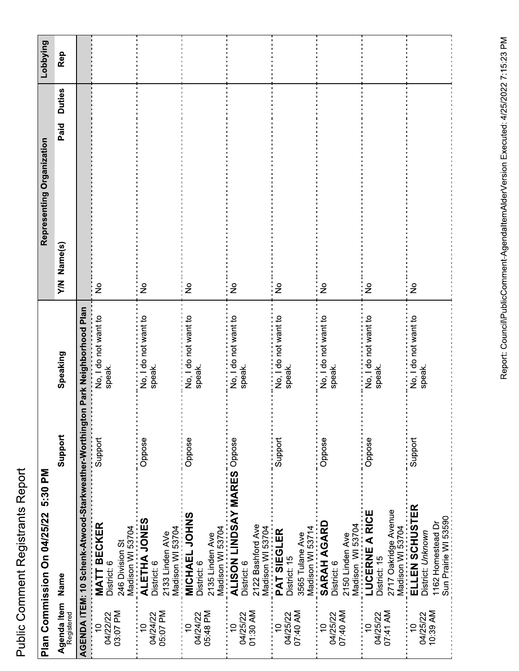|                                        | Plan Commission On 04/25/22                                                                                   | 5:30 PM |                                    |                | Representing Organization | Lobbying |
|----------------------------------------|---------------------------------------------------------------------------------------------------------------|---------|------------------------------------|----------------|---------------------------|----------|
| Agenda Item<br>Registered              | Name                                                                                                          | Support | Speaking                           | Name(s)<br>XΙV | <b>Duties</b><br>Paid     | Rep      |
|                                        | AGENDA ITEM: 10 Schenk-Atwood-Starkweather-Worthington Park Neighborhood Plan                                 |         |                                    |                |                           |          |
| 03:07 PM<br>04/22/22<br>$\frac{1}{2}$  | 246 Division St<br>Madison WI 53704<br><b>ALETHA JONES</b><br><b>MATT BECKER</b><br>District: 6               | Support | No, I do not want to<br>speak.     | $\frac{1}{2}$  |                           |          |
| 04/24/22<br>05:07 PM<br>$\overline{C}$ | 2133 Linden AVe<br>Madison WI 53704<br>- MICHAEL JOHNS<br>District: 6                                         | Oppose  | No, I do not want to<br>speak.     | $\frac{1}{2}$  |                           |          |
| 05:48 PM<br>04/24/22<br>: 9            | 2135 Linden Ave<br>Madison WI 53704<br><b>ALISON LINDSAY MARES</b> Oppose<br>District: 6                      | Oppose  | No, I do not want to<br>speak.     | ¦ ≗            |                           |          |
| 01:30 AM<br>04/25/22<br>$\overline{C}$ | 2122 Bashford Ave<br>District: 6                                                                              |         | No, I do not want to<br>speak.     | $\frac{1}{2}$  |                           |          |
| 04/25/22<br>07:40 AM<br>:<br>!ף        | 3565 Tulane Ave<br>_Madison WI 53714<br><b>SARAH AGARD</b><br>Madison WI 53704<br>PAT SIEGLER<br>District: 15 | Support | No, I do not want to<br>speak.     | $\frac{1}{2}$  |                           |          |
| 07:40 AM<br>04/25/22<br>$\overline{C}$ | 2150 Linden Ave<br>Madison WI 53704<br>- LUCERNE A RICE<br>District: 6                                        | Oppose  | <br>No, I do not want to<br>speak. | $\frac{1}{2}$  |                           |          |
| 07:41 AM<br>04/25/22<br>$\frac{1}{2}$  | 2717 Oakridge Avenue<br>_Madison WI 53704<br>_Madison WI 53704<br>_ELLEN SCHUSTER<br>District: 15             | Oppose  | No, I do not want to<br>speak.     | $\frac{1}{2}$  |                           |          |
| 04/25/22<br>10:39 AM<br>¦₽             | 1162 Homestead Dr<br>Sun Prairie WI 53590<br>District: Unknown                                                | Support | No, I do not want to<br>speak.     | ءِ :<br>ا      |                           |          |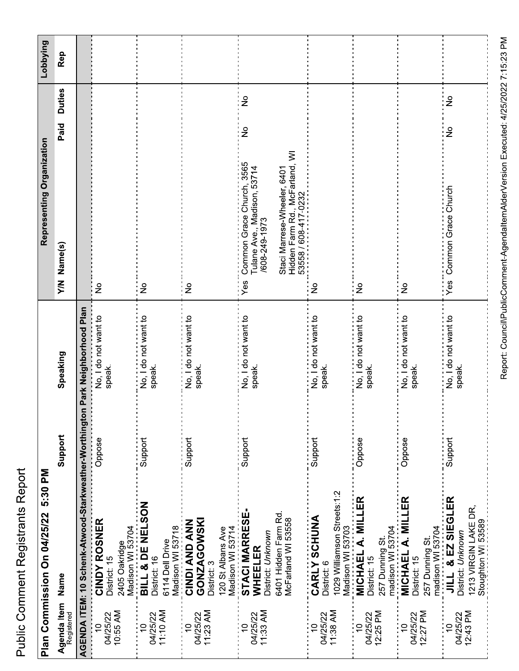| こくらく                                                   |
|--------------------------------------------------------|
| I<br>i                                                 |
| :                                                      |
| ֝֟֟֝֝֝֝֝֝֝֝֝֝֝<br>֧֝֝֝֝֝֝֝֝֝֝֝֝֝֝֝֝<br>֧֧֧֧֧֧֚֚֚֚֝֝֝֝֝ |
| i                                                      |
|                                                        |

| Lobbying                            | Rep                               |                                                        |                                                                   |                                                                         |                                                                                |                                                                                                                         |                                                                                |                                                      |                                                                                 |                                                                                                          |
|-------------------------------------|-----------------------------------|--------------------------------------------------------|-------------------------------------------------------------------|-------------------------------------------------------------------------|--------------------------------------------------------------------------------|-------------------------------------------------------------------------------------------------------------------------|--------------------------------------------------------------------------------|------------------------------------------------------|---------------------------------------------------------------------------------|----------------------------------------------------------------------------------------------------------|
|                                     | <b>Duties</b>                     |                                                        |                                                                   |                                                                         |                                                                                | $\frac{1}{2}$                                                                                                           |                                                                                |                                                      |                                                                                 | $\geq$                                                                                                   |
|                                     | Paid                              |                                                        |                                                                   |                                                                         |                                                                                | $\frac{1}{2}$                                                                                                           |                                                                                |                                                      |                                                                                 | $\frac{1}{2}$                                                                                            |
| Representing Organization           | Name(s)<br>$\sum_{i=1}^{n}$       |                                                        | $\frac{1}{2}$                                                     | $\frac{1}{2}$                                                           | $\frac{1}{2}$                                                                  | Common Grace Church, 3565<br>Tulane Ave., Madison, 53714<br>Staci Marrese-Wheeler, 6401<br>/608-249-1973<br>Yes         | $\frac{1}{2}$                                                                  | $\frac{1}{2}$                                        | $\frac{1}{2}$                                                                   | <br>Common Grace Church<br>i<br>Yes                                                                      |
|                                     | Speaking                          | n Park Neighborhood Plan                               | No, I do not want to<br>speak.                                    | No, I do not want to<br>speak.                                          | No, I do not want to<br>speak.                                                 | No, I do not want to<br>speak.                                                                                          | No, I do not want to<br>speak.                                                 |                                                      | No, I do not want to<br>speak.                                                  | speak.                                                                                                   |
|                                     | Support                           |                                                        | Oppose                                                            | Support                                                                 | Support                                                                        | Support                                                                                                                 | Support                                                                        | Oppose                                               | Oppose                                                                          | Support                                                                                                  |
| Plan Commission On 04/25/22 5:30 PM |                                   | AGENDA ITEM: 10 Schenk-Atwood-Starkweather-Worthingtor | CINDY ROSNER<br>Madison WI 53704<br>2405 Oakridge<br>District: 15 | BILL & DE NELSON<br>Madison WI 53718<br>6114 Dell Drive<br>District: 16 | <b>GONZAGOWSKI</b><br><b>CINDI AND ANN</b><br>120 St Albans Ave<br>District: 3 | Madison WI 53714<br><b>STACI MARRESE-</b><br>6401 Hidden Farm Rd.<br>McFarland WI 53558<br>District: Unknown<br>WHEELER | 1029 Williamson Streets:1:2<br>CARLY SCHUNA<br>Madison WI 53703<br>District: 6 | MICHAEL A. MILLER<br>257 Dunning St.<br>District: 15 | madison WI 53704<br><b>MICHAEL A. MILLER</b><br>257 Dunning St.<br>District: 15 | madison WI 53704<br>JILL & EZ SIEGLER<br>1213 VIRGIN LAKE DR,<br>Stoughton WI 53589<br>District: Unknown |
|                                     | Agenda Item<br>Name<br>Registered |                                                        | 10:55 AM<br>04/25/22<br>$\overline{C}$                            | 11:10 AM<br>04/25/22<br>$\frac{1}{2}$                                   | 11:23 AM<br>04/25/22<br>$\overline{C}$                                         | 11:33 AM<br>04/25/22<br>$\overline{0}$                                                                                  | 11:38 AM<br>04/25/22<br>₽                                                      | 12:25 PM<br>04/25/22<br>$\overline{C}$               | 12:27 PM<br>04/25/22<br>$\overline{C}$                                          | 12:43 PM<br>04/25/22<br>$\frac{1}{2}$                                                                    |

Report: Council\PublicComment-AgendaltemAlderVersion Executed: 4/25/2022 7:15:23 PM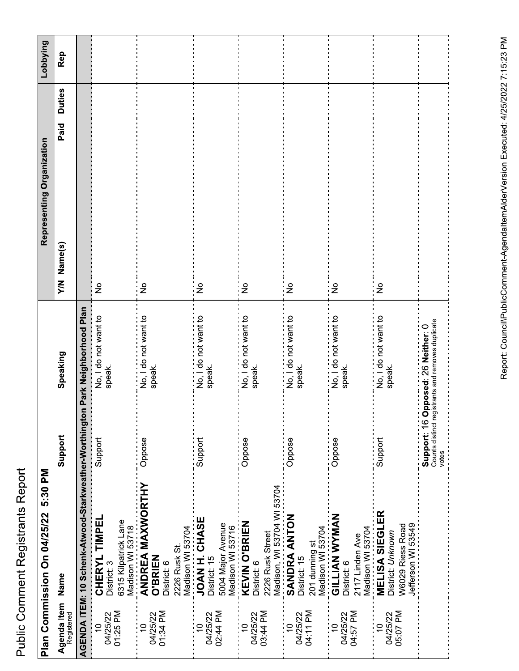|                                        | Plan Commission On 04/25/22 5:30 PM                                                                     |                                               |                                                          | Representing Organization           |               | Lobbying |
|----------------------------------------|---------------------------------------------------------------------------------------------------------|-----------------------------------------------|----------------------------------------------------------|-------------------------------------|---------------|----------|
| Agenda Item Name<br>Registered         |                                                                                                         | Support                                       | Speaking                                                 | Paid<br>Name(s)<br>$\sum_{i=1}^{n}$ | <b>Duties</b> | Rep      |
|                                        | AGENDA ITEM: 10 Schenk-Atwood-Starkweather-Worthington Park Neighborhood Plan                           |                                               |                                                          |                                     |               |          |
| 01:25 PM<br>04/25/22<br>$\overline{C}$ | 6315 Kilpatrick Lane<br>Madison WI 53718<br><b>ANDREA MAXWORTHY</b><br>CHERYL TIMPEL<br>District: 3     | Support                                       | No, I do not want to<br>speak.                           | $\frac{1}{2}$                       |               |          |
| 01:34 PM<br>04/25/22                   | Madison WI 53704<br>2226 Rusk St.<br><b>O'BRIEN</b><br>District: 6                                      | Oppose                                        | ------------------<br>No, I do not want to<br>speak.     | $\frac{1}{2}$                       |               |          |
| 02:44 PM<br>04/25/22                   | <b>JOAN H ZAOO</b><br>5004 Major Avenue<br>Madison WI 53716<br>District: 15                             | Support                                       | No, I do not want to<br>speak.                           | $\frac{1}{2}$                       |               |          |
| 03:44 PM<br>04/25/22<br>$\overline{a}$ | <b>KEVIN O'BRIEN</b><br>2226 Rusk Street<br>District: 6                                                 | Oppose                                        | No, I do not want to<br>speak.                           | $\frac{1}{2}$                       |               |          |
| 04:11 PM<br>04/25/22<br>$\tilde{=}$    | Madison, WI 53704 WI 53704<br><b>SANDRA ANTON</b><br>201 dunning st<br>Madison WI 53704<br>District: 15 | Oppose                                        | No, I do not want to<br>speak.                           | $\frac{1}{2}$                       |               |          |
| 04:57 PM<br>04/25/22<br>$\overline{a}$ | <b>GILLIAN WYMAN</b><br>Madison WI 53704<br>2117 Linden Ave<br>District: 6                              | Oppose                                        | <br>No, I do not want to<br>speak.                       | i 9                                 |               |          |
| 04/25/22<br>05:07 PM<br>$\overline{C}$ | <b>MELISA SIEGLER</b><br>Jefferson WI 53549<br><b>W6029 Riess Road</b><br>District: Unknown             | Support                                       | No, I do not want to<br>speak.                           | $\frac{1}{2}$                       |               |          |
|                                        |                                                                                                         | support: 16 O<br>Counts distinct reg<br>votes | jistrants and removes duplicate<br>pposed: 26 Neither: 0 |                                     |               |          |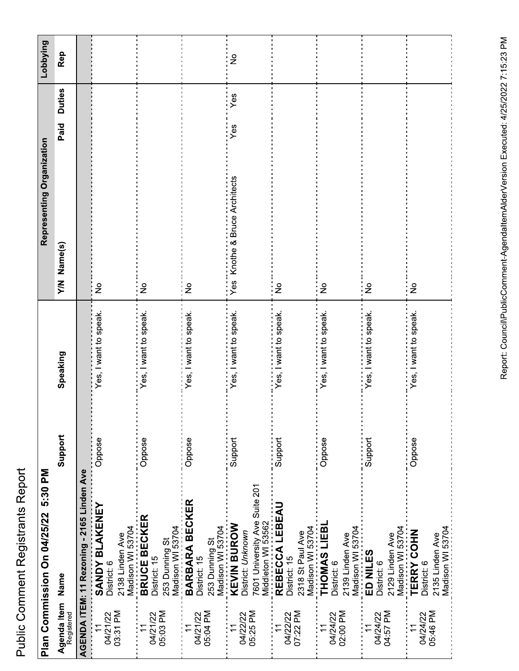|                                        | Plan Commission On 04/25/22 5:30 PM                                                            |         |                          | Representing Organization        |                       | Lobbying      |
|----------------------------------------|------------------------------------------------------------------------------------------------|---------|--------------------------|----------------------------------|-----------------------|---------------|
| Agenda Item Name<br>Registered         |                                                                                                | Support | Speaking                 | Name(s)<br>$\sum_{i=1}^{n}$      | <b>Duties</b><br>Paid | Rep           |
|                                        | AGENDA ITEM: 11 Rezoning - 2165 Linden Ave                                                     |         |                          |                                  |                       |               |
| 03:31 PM<br>04/21/22<br>$\overline{1}$ | <b>SANDY BLAKENEY</b><br>District: 6<br>2138 Linden Ave                                        | Oppose  | Yes, I want to speak.    | $\frac{1}{2}$                    |                       |               |
| 04/21/22<br>05:03 PM                   | Madison WI 53704<br><b>BRUCE BECKER</b><br>Madison WI 53704<br>253 Dunning St<br>District: 15  | Oppose  | <br>Yes, I want to speak | $\frac{1}{2}$                    |                       |               |
| 04/21/22<br>05:04 PM                   | BARBARA BECKER<br>Madison WI 53704<br>253 Dunning St<br>District: 15                           | Oppose  | Yes, I want to speak.    | $\frac{1}{2}$                    |                       |               |
| 04/22/22<br>05:25 PM                   | 7601 University Ave Suite 201<br>Middleton WI 53562<br><b>KEVIN BUROW</b><br>District: Unknown | Support | Yes, I want to speak.    | Knothe & Bruce Architects<br>Yes | Yes<br>Yes            | $\frac{1}{2}$ |
| 04/22/22<br>07:22 PM                   | REBECCA LEBEAU<br>Madison WI 53704<br>2318 St Paul Ave<br>District: 15                         | Support | Yes, I want to speak.    | $\frac{1}{2}$                    |                       |               |
| 02:00 PM<br>04/24/22                   | THOMAS LIEBL<br>2139 Linden Ave<br>District: 6                                                 | Oppose  | Yes, I want to speak.    | $\frac{1}{2}$                    |                       |               |
| 04:57 PM<br>04/24/22                   | Madison WI 53704<br><b>ED NILES</b><br>Madison WI 53704<br>2129 Linden Ave<br>District: 6      | Support | Yes, I want to speak.    | $\frac{1}{2}$                    |                       |               |
| 05:46 PM<br>04/24/22                   | Madison WI 53704<br><b>TERRY COHN</b><br>2135 Linden Ave<br>District: 6                        | Oppose  | Yes, I want to speak.    | $\frac{1}{2}$                    |                       |               |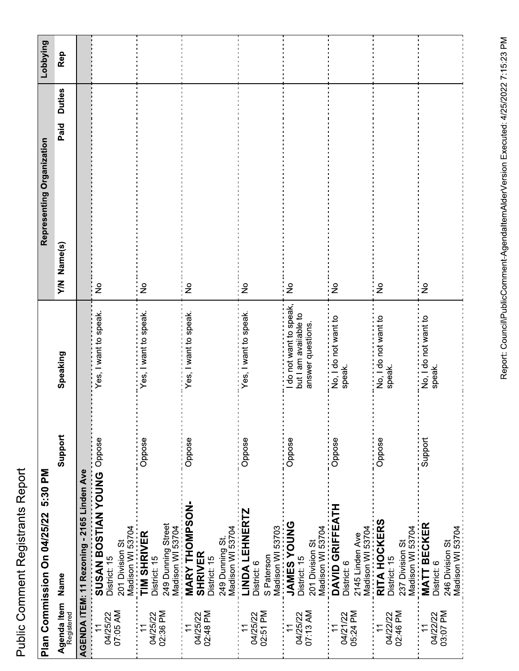|                                        | Plan Commission On 04/25/22 5:30 PM                                                       |         |                                                                     | Representing Organization           |               | Lobbying |
|----------------------------------------|-------------------------------------------------------------------------------------------|---------|---------------------------------------------------------------------|-------------------------------------|---------------|----------|
| Agenda Item Name<br>Registered         |                                                                                           | Support | Speaking                                                            | Paid<br>Name(s)<br>$\sum_{i=1}^{n}$ | <b>Duties</b> | Rep      |
|                                        | AGENDA ITEM: 11 Rezoning - 2165 Linden Ave                                                |         |                                                                     |                                     |               |          |
| 07:05 AM<br>04/25/22<br>$\overline{1}$ | SUSAN BOSTIAN YOUNG OPPOSE<br>Madison WI 53704<br>201 Division St<br>District: 15         |         | Yes, I want to speak.                                               | $\frac{1}{2}$                       |               |          |
| 02:36 PM<br>04/25/22                   | 249 Dunning Street<br>TIM SHRIVER<br>District: 15                                         | Oppose  | Yes, I want to speak.                                               | $\frac{1}{2}$                       |               |          |
| 02:48 PM<br>04/25/22                   | Madison WI 53704<br>MARY THOMPSON-<br>249 Dunning St.<br><b>SHRIVER</b><br>District: 15   | Oppose  | Yes, I want to speak.                                               | $\frac{1}{2}$                       |               |          |
| 02:51 PM<br>04/25/22                   | Madison WI 53704<br>LINDA LEHNERTZ<br>Madison WI 53703<br>S Paterson<br>District: 6       | Oppose  | Yes, I want to speak.                                               | $\frac{1}{2}$                       |               |          |
| 07:13 AM<br>04/25/22                   | <b>JAMES YOUNG</b><br>201 Division St<br>District: 15                                     | Oppose  | do not want to speak,<br>but I am available to<br>answer questions. | $\frac{9}{2}$                       |               |          |
| 05:24 PM<br>04/21/22                   | Madison WI 53704<br>DAVID GRIFFEATH<br>Madison WI 53704<br>2145 Linden Ave<br>District: 6 | Oppose  | --------------------------<br>No, I do not want to<br>speak.        | $\frac{1}{2}$                       |               |          |
| 02:46 PM<br>04/22/22                   | RITA HOCKERS<br>Madison WI 53704<br>237 Division St<br>District: 15                       | Oppose  | No, I do not want to<br>speak.                                      | $\frac{1}{2}$                       |               |          |
| 03:07 PM<br>04/22/22<br>$\overline{1}$ | <b>MATT BECKER</b><br>Madison WI 53704<br>246 Division St<br>District: 6                  | Support | →→→→→→→→→→→→→→→→→<br>No, I do not want to<br>speak.                 | $\frac{1}{2}$                       |               |          |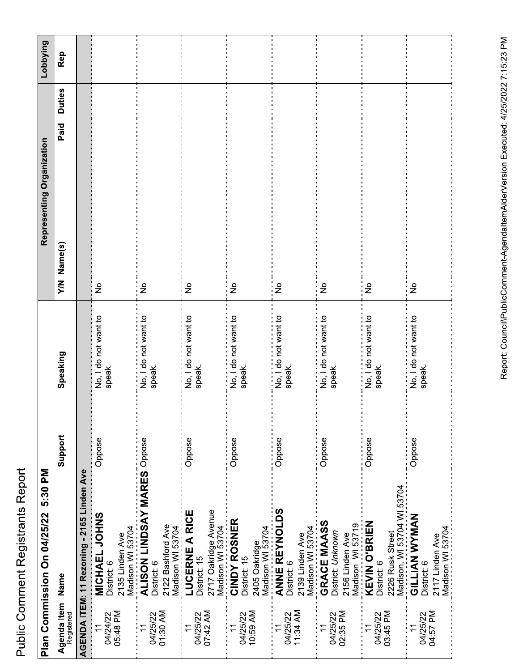|                                        | Plan Commission On 04/25/22 5:30 PM                                                          |         |                                                         | Representing Organization   |                       | Lobbying |
|----------------------------------------|----------------------------------------------------------------------------------------------|---------|---------------------------------------------------------|-----------------------------|-----------------------|----------|
| Agenda Item<br>Registered              | Name                                                                                         | Support | Speaking                                                | Name(s)<br>$\sum_{i=1}^{n}$ | <b>Duties</b><br>Paid | Rep      |
|                                        | AGENDA ITEM: 11 Rezoning - 2165 Linden Ave                                                   |         |                                                         |                             |                       |          |
| 05:48 PM<br>04/24/22<br>$\overline{1}$ | MICHAEL JOHNS<br>Madison WI 53704<br>2135 Linden Ave<br>District: 6                          | Oppose  | No, I do not want to<br>speak.                          | $\frac{1}{2}$               |                       |          |
| 04/25/22<br>01:30 AM                   | <b>ALISON LINDSAY MARES Oppose</b><br>2122 Bashford Ave<br>Madison WI 53704<br>District: 6   |         | No, I do not want to<br>speak.                          | $\frac{1}{2}$               |                       |          |
| 04/25/22<br>07:42 AM                   | 2717 Oakridge Avenue<br>_Madison WI 53704<br>_CINDY ROSNER<br>LUCERNE A RICE<br>District: 15 | Oppose  | No, I do not want to<br>speak.                          | $\frac{1}{2}$               |                       |          |
| 10:59 AM<br>04/25/22                   | Madison WI 53704<br>2405 Oakridge<br>District: 15                                            | Oppose  | ---------------------<br>No, I do not want to<br>speak. | $\frac{1}{2}$               |                       |          |
| 04/25/22<br>11:34 AM                   | <b>ANNE REYNOLDS</b><br>Madison WI 53704<br>2139 Linden Ave<br>District: 6                   | Oppose  | No, I do not want to<br>speak.                          | $\frac{1}{2}$               |                       |          |
| 02:35 PM<br>04/25/22                   | GRACE MAASS<br>Madison WI 53719<br>District: Unknown<br>2156 Linden Ave                      | Oppose  | No, I do not want to<br>speak.                          | $\frac{1}{2}$               |                       |          |
| 03:45 PM<br>04/25/22                   | Madison, WI 53704 WI 53704<br><b>KEVIN O'BRIEN</b><br>2226 Rusk Street<br>District: 6        | Oppose  | No, I do not want to<br>speak.                          | $\frac{1}{2}$               |                       |          |
| 04:57 PM<br>04/25/22                   | <b>GILLIAN WYMAN</b><br>Madison WI 53704<br>2117 Linden Ave<br>District: 6                   | Oppose  |                                                         | $\frac{1}{2}$               |                       |          |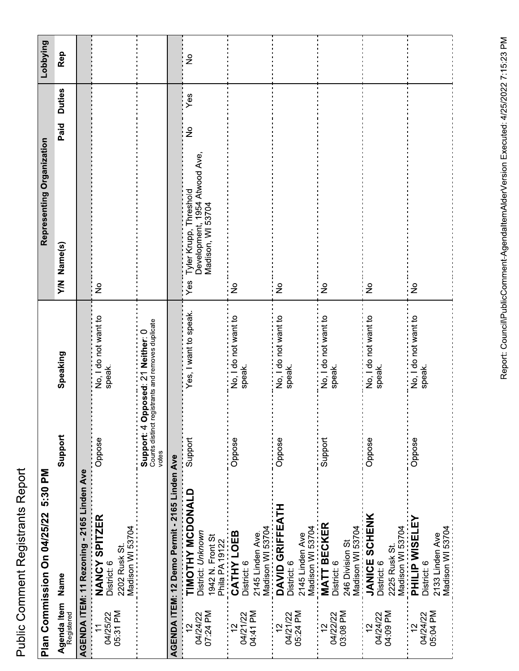| `<br>^<br>ı |
|-------------|
|             |
|             |
|             |
|             |
|             |
|             |
| į           |
| 5           |
|             |
|             |
|             |
| ı           |
|             |
|             |
|             |
|             |
|             |
|             |
|             |
|             |
|             |
|             |
|             |
| ،<br>؟      |
|             |
| i           |
|             |
|             |
|             |
|             |
|             |
|             |
|             |
|             |

|                                        | Plan Commission On 04/25/22 5:30 PM                                         |                                            |                                                   | Representing Organization                                                           |                       | Lobbying      |
|----------------------------------------|-----------------------------------------------------------------------------|--------------------------------------------|---------------------------------------------------|-------------------------------------------------------------------------------------|-----------------------|---------------|
| Agenda Item<br>Name<br>Registered      |                                                                             | Support                                    | Speaking                                          | Y/N Name(s)                                                                         | <b>Duties</b><br>Paid | Rep           |
|                                        | AGENDA ITEM: 11 Rezoning - 2165 Linden Ave                                  |                                            |                                                   |                                                                                     |                       |               |
| 05:31 PM<br>04/25/22<br>$\overline{1}$ | NANCY SPITZER<br>Madison WI 53704<br>2202 Rusk St.<br>District: 6           | Oppose                                     | No, I do not want to<br>speak.                    | $\frac{1}{2}$                                                                       |                       |               |
|                                        |                                                                             | Support: 4 Opposed: 21 Neither: 0<br>votes | Counts distinct registrants and removes duplicate |                                                                                     |                       |               |
|                                        | AGENDA ITEM: 12 Demo Permit - 2165 Linden Ave                               |                                            |                                                   |                                                                                     |                       |               |
| 07:24 PM<br>04/24/22<br>$\frac{1}{2}$  | TIMOTHY MCDONALD<br>District: Unknown<br>1942 N. Front St<br>Phila PA 19122 | Support                                    | Yes, I want to speak.                             | Tyler Krupp, Threshold<br>Development, 1954 Atwood Ave,<br>Madison, WI 53704<br>Yes | Yes<br>ş              | $\frac{1}{2}$ |
| 04:41 PM<br>04/21/22<br>$\overline{2}$ | Madison WI 53704<br>CATHY LOEB<br>2145 Linden Ave.<br>District: 6           | Oppose                                     | No, I do not want to<br>speak.                    | $\frac{1}{2}$                                                                       |                       |               |
| 05:24 PM<br>04/21/22                   | DAVID GRIFFEATH<br>Madison WI 53704<br>2145 Linden Ave<br>District: 6       | Oppose                                     | No, I do not want to<br>speak.                    | $\frac{\circ}{\sim}$                                                                |                       |               |
| 03:08 PM<br>04/22/22<br>$\frac{2}{1}$  | <b>MATT BECKER</b><br>Madison WI 53704<br>246 Division St<br>District: 6    | Support                                    | No, I do not want to<br>speak.                    | $\frac{1}{2}$                                                                       |                       |               |
| 04:09 PM<br>04/24/22<br>$\frac{2}{3}$  | <b>JANICE SCHENK</b><br>Madison WI 53704<br>2225 Rusk St.<br>District: 6    | Oppose                                     | No, I do not want to<br>speak.                    | $\epsilon$                                                                          |                       |               |
| 05:04 PM<br>04/24/22<br>$\frac{2}{3}$  | <b>PHILIP WISELEY</b><br>Madison WI 53704<br>2133 Linden Ave<br>District: 6 | Oppose                                     | No, I do not want to<br>speak.                    | $\frac{1}{2}$                                                                       |                       |               |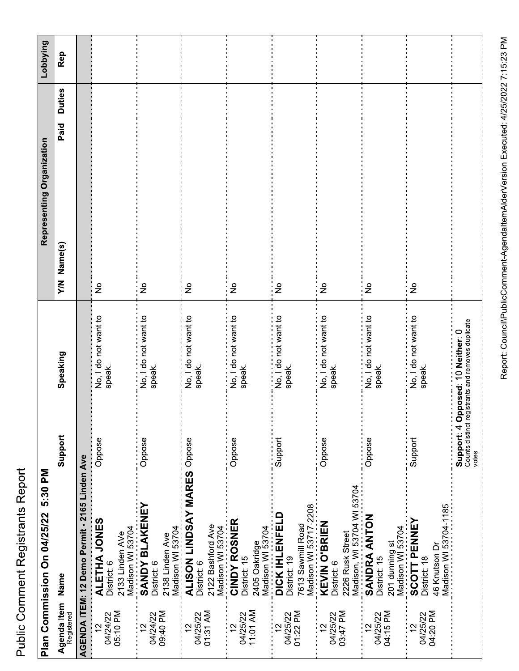|                                        | Plan Commission On 04/25/22 5:30 PM                                                   |                                            |                                                   | Representing Organization                            | Lobbying |
|----------------------------------------|---------------------------------------------------------------------------------------|--------------------------------------------|---------------------------------------------------|------------------------------------------------------|----------|
| Agenda Item<br>Registered              | Name                                                                                  | Support                                    | Speaking                                          | <b>Duties</b><br>Paid<br>Name(s)<br>$\sum_{i=1}^{n}$ | Rep      |
|                                        | AGENDA ITEM: 12 Demo Permit - 2165 Linden Ave                                         |                                            |                                                   |                                                      |          |
| 05:10 PM<br>04/24/22<br>$\tilde{c}$    | ALETHA JONES<br>Madison WI 53704<br>2133 Linden AVe<br>District: 6                    | Oppose                                     | No, I do not want to<br>speak.                    | $\frac{1}{2}$                                        |          |
| 09:40 PM<br>04/24/22                   | <b>SANDY BLAKENEY</b><br>Madison WI 53704<br>2138 Linden Ave<br>District: 6           | Oppose                                     | No, I do not want to<br>speak.                    | $\frac{1}{2}$                                        |          |
| 01:31 AM<br>04/25/22                   | ALISON LINDSAY MARES Oppose<br>2122 Bashford Ave<br>Madison WI 53704<br>District: 6   |                                            | No, I do not want to<br>speak.                    | $\frac{1}{2}$                                        |          |
| 11:01 AM<br>04/25/22                   | CINDY ROSNER<br>Madison WI 53704<br>2405 Oakridge<br>District: 15                     | Oppose                                     | No, I do not want to<br>speak.                    | $\frac{1}{2}$                                        |          |
| 01:22 PM<br>04/25/22<br>$\overline{2}$ | Madison WI 53717-2208<br><b>DICK IHLENFELD</b><br>7613 Sawmill Road<br>District: 19   | Support                                    | No, I do not want to<br>speak.                    | $\frac{1}{2}$                                        |          |
| 03:47 PM<br>04/25/22                   | Madison, WI 53704 WI 53704<br><b>KEVIN O'BRIEN</b><br>2226 Rusk Street<br>District: 6 | Oppose                                     | No, I do not want to<br>speak.                    | $\frac{1}{2}$                                        |          |
| 04:15 PM<br>04/25/22<br>$\approx$      | SANDRA ANTON<br>Madison WI 53704<br>201 dunning st<br>District: 15                    | Oppose                                     | No, I do not want to<br>speak.                    | $\frac{1}{2}$                                        |          |
| 04:20 PM<br>04/25/22                   | Madison WI 53704-1185<br><b>SCOTT PENNEY</b><br>46 Knutson Dr<br>District: 18         | Support                                    | No, I do not want to<br>speak.                    | $\frac{9}{5}$                                        |          |
|                                        |                                                                                       | Support: 4 Opposed: 10 Neither: 0<br>votes | Counts distinct registrants and removes duplicate |                                                      |          |

Report: Council\PublicComment-AgendaltemAlderVersion Executed: 4/25/2022 7:15:23 PM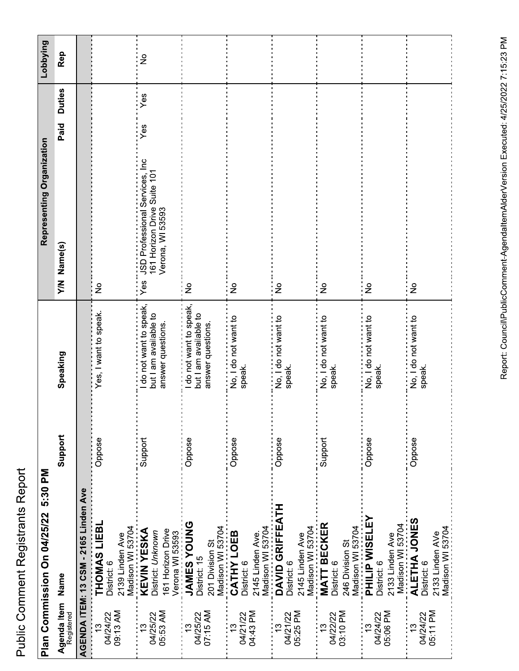| Š      |
|--------|
| l      |
|        |
|        |
|        |
|        |
|        |
|        |
|        |
| s<br>C |
| j      |
|        |
|        |
|        |
|        |
| I      |
| ĭ      |
|        |
|        |
|        |
|        |
|        |
| i      |
|        |
| i      |
|        |
|        |
|        |
|        |
|        |
|        |
|        |
|        |
|        |
|        |
|        |
| j      |
| Ì      |
|        |
|        |

|                                       | Plan Commission On 04/25/22 5:30 PM                                                          |         |                                                                     | Representing Organization                                                                                |                       | Lobbying      |
|---------------------------------------|----------------------------------------------------------------------------------------------|---------|---------------------------------------------------------------------|----------------------------------------------------------------------------------------------------------|-----------------------|---------------|
| Agenda Item<br>Name<br>Registered     |                                                                                              | Support | Speaking                                                            | Y/N Name(s)                                                                                              | <b>Duties</b><br>Paid | Rep           |
|                                       | AGENDA ITEM: 13 CSM - 2165 Linden Ave                                                        |         |                                                                     |                                                                                                          |                       |               |
| 09:13 AM<br>04/24/22<br>$\frac{3}{2}$ | THOMAS LIEBL<br>2139 Linden Ave<br>District: 6                                               | Oppose  | Yes, I want to speak.                                               | $\frac{1}{2}$                                                                                            |                       |               |
| 05:53 AM<br>04/25/22                  | Madison WI 53704<br>KEVIN YESKA<br>161 Horizon Drive<br>District: Unknown<br>Verona WI 53593 | Support | do not want to speak,<br>but I am available to<br>answer questions. | ………………………………<br>JSD Professional Services, Inc<br>161 Horizon Drive Suite 101<br>Verona, WI 53593<br>Yes | Yes<br>Yes            | $\frac{1}{2}$ |
| 07:15 AM<br>04/25/22                  | <b>JAMES YOUNG</b><br>Madison WI 53704<br>201 Division St<br>District: 15                    | Oppose  | do not want to speak,<br>but I am available to<br>answer questions. | $\frac{1}{2}$                                                                                            |                       |               |
| 04:43 PM<br>04/21/22                  | Madison WI 53704<br>CATHY LOEB<br>2145 Linden Ave.<br>District: 6                            | Oppose  | speak.                                                              | $\frac{1}{2}$                                                                                            |                       |               |
| 05:25 PM<br>04/21/22                  | DAVID GRIFFEATH<br>Madison WI 53704<br>2145 Linden Ave<br>District: 6                        | Oppose  | No, I do not want to<br>speak.                                      | $\frac{1}{2}$                                                                                            |                       |               |
| 03:10 PM<br>04/22/22                  | <b>MATT BECKER</b><br>Madison WI 53704<br>246 Division St<br>District: 6                     | Support | No, I do not want to<br>speak.                                      | $\frac{1}{2}$                                                                                            |                       |               |
| 05:06 PM<br>04/24/22                  | <b>PHILIP WISELEY</b><br>2133 Linden Ave<br>District: 6                                      | Oppose  | No, I do not want to<br>speak.                                      | $\frac{1}{2}$                                                                                            |                       |               |
| 05:11 PM<br>04/24/22                  | Madison WI 53704<br>ALETHA JONES<br>Madison WI 53704<br>2133 Linden AVe<br>District: 6       | Oppose  | No, I do not want to<br>speak.                                      | $\epsilon$                                                                                               |                       |               |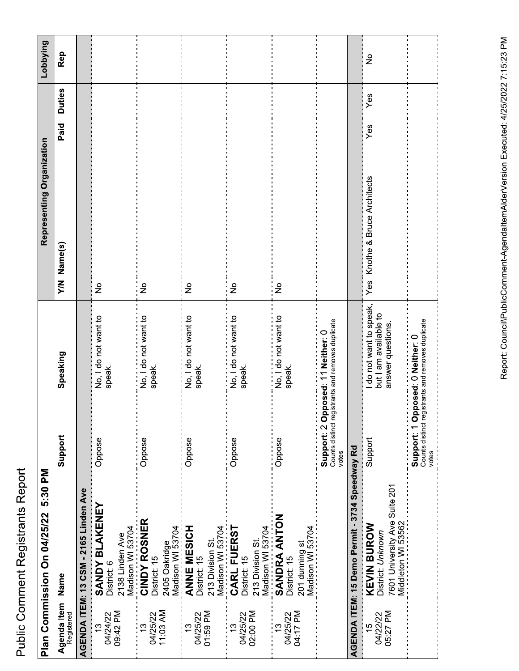|                                       | Plan Commission On 04/25/22 5:30 PM                                                            |                                            |                                                                    | Representing Organization               |               | Lobbying      |
|---------------------------------------|------------------------------------------------------------------------------------------------|--------------------------------------------|--------------------------------------------------------------------|-----------------------------------------|---------------|---------------|
| Agenda Item Name<br>Registered        |                                                                                                | Support                                    | Speaking                                                           | Paid<br>Y/N Name(s)                     | <b>Duties</b> | Rep           |
|                                       | AGENDA ITEM: 13 CSM - 2165 Linden Ave                                                          |                                            |                                                                    |                                         |               |               |
| 09:42 PM<br>04/24/22<br>$\frac{1}{2}$ | <b>SANDY BLAKENEY</b><br>Madison WI 53704<br>2138 Linden Ave<br>District: 6                    | Oppose                                     | No, I do not want to<br>speak.                                     | ş                                       |               |               |
| 11:03 AM<br>04/25/22<br><u>ლ</u>      | <b>CINDY ROSNER</b><br>Madison WI 53704<br>2405 Oakridge<br>District: 15                       | Oppose                                     | No, I do not want to<br>speak.                                     | $\frac{1}{2}$                           |               |               |
| 01:59 PM<br>04/25/22                  | ANNE MESICH<br>Madison WI 53704<br>213 Division St.<br>District: 15                            | Oppose                                     | No, I do not want to<br>speak.                                     | $\frac{1}{2}$                           |               |               |
| 02:00 PM<br>04/25/22                  | CARL FUERST<br>Madison WI 53704<br>213 Division St.<br>District: 15                            | Oppose                                     | No, I do not want to<br>speak.                                     | $\frac{1}{2}$                           |               |               |
| 04:17 PM<br>04/25/22                  | SANDRA ANTON<br>Madison WI 53704<br>201 dunning st<br>District: 15                             | Oppose                                     | No, I do not want to<br>speak.                                     | $\frac{1}{2}$                           |               |               |
|                                       |                                                                                                | Support: 2 Opposed: 11 Neither: 0<br>votes | Counts distinct registrants and removes duplicate                  |                                         |               |               |
|                                       | AGENDA ITEM: 15 Demo Permit - 3734 Speedway Rd                                                 |                                            |                                                                    |                                         |               |               |
| 05:27 PM<br>04/22/22<br>15            | 7601 University Ave Suite 201<br>Middleton WI 53562<br><b>KEVIN BUROW</b><br>District: Unknown | Support                                    | do not want to speak,<br>but I am available to<br>answer questions | Yes<br>Knothe & Bruce Architects<br>Yes | Yes           | $\frac{1}{2}$ |
|                                       |                                                                                                | Support: 1 Opposed: 0 Neither: 0<br>votes  | Counts distinct registrants and removes duplicate                  |                                         |               |               |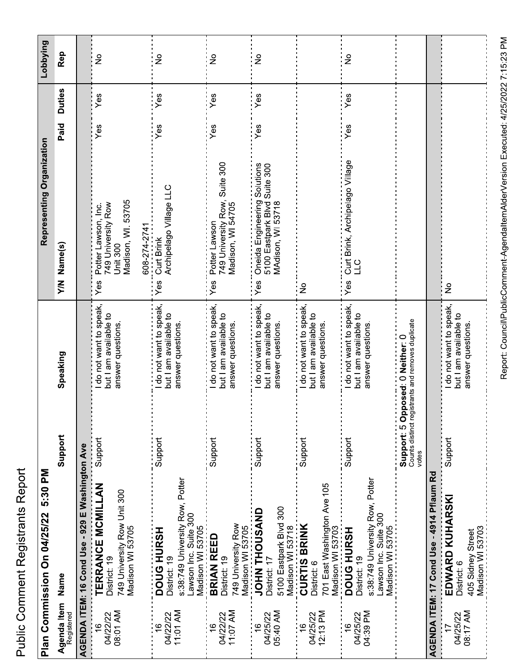|                                       | 5:30 PM<br>Plan Commission On 04/25/22                                                                            |                                            |                                                                       | Representing Organization                                                                                 |      |               | Lobbying      |
|---------------------------------------|-------------------------------------------------------------------------------------------------------------------|--------------------------------------------|-----------------------------------------------------------------------|-----------------------------------------------------------------------------------------------------------|------|---------------|---------------|
| Agenda Item<br>Name<br>Registered     |                                                                                                                   | Support                                    | Speaking                                                              | Y/N Name(s)                                                                                               | Paid | <b>Duties</b> | Rep           |
|                                       | AGENDA ITEM: 16 Cond Use - 929 E Washington Ave                                                                   |                                            |                                                                       |                                                                                                           |      |               |               |
| 08:01 AM<br>04/22/22<br>$\frac{6}{1}$ | TERRANCE MCMILLAN<br>749 University Row Unit 300<br>Madison WI 53705<br>District: 19                              | Support                                    | do not want to speak,<br>but I am available to<br>answer questions.   | Madison, WI. 53705<br>749 University Row<br>Potter Lawson, Inc.<br>608-274-2741<br><b>Unit 300</b><br>Yes | Yes  | Yes           | $\frac{1}{2}$ |
| 11:01 AM<br>04/22/22                  | s:38:749 University Row, Potter<br>Lawson Inc. Suite 300<br>Madison WI 53705<br>DOUG HURSH<br>District: 19        | Support                                    | do not want to speak,<br>but I am available to<br>answer questions.   | Archipelago Village LLC<br>Curt Brink<br>Yes                                                              | Yes  | Yes           | $\frac{1}{2}$ |
| 11:07 AM<br>04/22/22                  | 749 University Row<br>Madison WI 53705<br><b>BRIAN REED</b><br>District: 19                                       | Support                                    | do not want to speak,<br>but I am available to<br>answer questions.   | Suite 300<br>749 University Row,<br>Madison, WI 54705<br>Potter Lawson<br>Yes                             | Yes  | Yes           | $\frac{1}{2}$ |
| 05:40 AM<br>04/25/22                  | 5100 Eastpark Blvd 300<br>JOHN THOUSAND<br>Madison WI 53718<br>District: 17                                       | Support                                    | I do not want to speak,<br>but I am available to<br>answer questions. | Oneida Engineering Solutions<br>5100 Eastpark Blvd Suite 300<br>MAdison, WI 53718<br>Yes                  | Yes  | Yes           | $\frac{1}{2}$ |
| 12:13 PM<br>04/25/22<br>$\frac{6}{5}$ | 701 East Washington Ave 105<br><b>CURTIS BRINK</b><br>Madison WI 53703<br>District: 6                             | Support                                    | I do not want to speak,<br>but I am available to<br>answer questions. | $\frac{1}{2}$                                                                                             |      |               |               |
| 04:39 PM<br>04/25/22                  | s:38:749 University Row, Potter<br>-awson Inc. Suite 300<br>Madison WI 53705<br><b>DOUG HURSH</b><br>District: 19 | Support                                    | do not want to speak,<br>but I am available to<br>answer questions.   | Curt Brink, Archipelago Village<br>211<br>Yes                                                             | Yes  | Yes           | $\frac{1}{2}$ |
|                                       |                                                                                                                   | Support: 50<br>Counts distinct re<br>votes | egistrants and removes duplicate<br>pposed: 0 Neither: 0              |                                                                                                           |      |               |               |
|                                       | AGENDA ITEM: 17 Cond Use - 4914 Pflaum Rd                                                                         |                                            |                                                                       |                                                                                                           |      |               |               |
| 08:17 AM<br>04/25/22                  | <b>EDWARD KUHARSKI</b><br>Madison WI 53703<br>405 Sidney Street<br>District: 6                                    | Support                                    | do not want to speak,<br>but I am available to<br>answer questions.   | ş                                                                                                         |      |               |               |

Public Comment Registrants Report

Report: Council\PublicComment-AgendaltemAlderVersion Executed: 4/25/2022 7:15:23 PM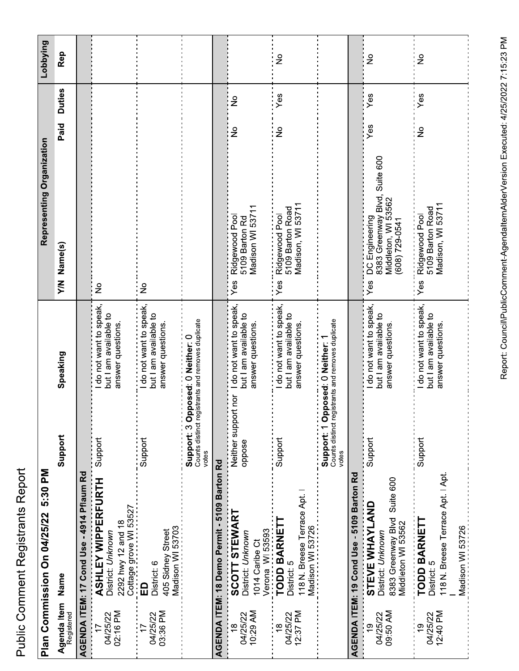| Č        |
|----------|
| ı        |
|          |
|          |
| :        |
|          |
|          |
|          |
| י היה הי |
|          |
| i        |
|          |
|          |
|          |

|                                            | Plan Commission On 04/25/22 5:30 PM                                                            |                                               |                                                                       | Representing Organization                                                                          |                                | Lobbying      |
|--------------------------------------------|------------------------------------------------------------------------------------------------|-----------------------------------------------|-----------------------------------------------------------------------|----------------------------------------------------------------------------------------------------|--------------------------------|---------------|
| Agenda Item<br>Name<br>Registered          |                                                                                                | Support                                       | Speaking                                                              | Y/N Name(s)                                                                                        | <b>Duties</b><br>Paid          | Rep           |
|                                            | AGENDA ITEM: 17 Cond Use - 4914 Pflaum Rd                                                      |                                               |                                                                       |                                                                                                    |                                |               |
| 02:16 PM<br>04/25/22<br>$\overline{1}$     | <b>ASHLEY WIPPERFURTH</b><br>Cottage grove WI 53527<br>2292 hwy 12 and 18<br>District: Unknown | Support                                       | do not want to speak,<br>but I am available to<br>answer questions.   | $\frac{1}{2}$                                                                                      |                                |               |
| 03:36 PM<br>04/25/22                       | Madison WI 53703<br>405 Sidney Street<br>District: 6<br>$\Omega$                               | Support                                       | I do not want to speak,<br>but I am available to<br>answer questions  | $\frac{1}{2}$                                                                                      |                                |               |
|                                            |                                                                                                | Support: 3 Op<br>Counts distinct reg<br>votes | istrants and removes duplicate<br>posed: 0 Neither: 0                 |                                                                                                    |                                |               |
|                                            | AGENDA ITEM: 18 Demo Permit - 5109 Barton Rd                                                   |                                               |                                                                       |                                                                                                    |                                |               |
| 10:29 AM<br>04/25/22<br>$\frac{\infty}{2}$ | SCOTT STEWART<br>Verona WI 53593<br>TODD BARNETT<br>District: Unknown<br>1014 Caribe Ct        | Neither support nor<br>oppose                 | I do not want to speak,<br>but I am available to<br>answer questions. | Madison WI 53711<br>Ridgewood Pool<br>5109 Barton Rd<br>Yes                                        | $\frac{1}{2}$<br>$\frac{1}{2}$ |               |
| 12:37 PM<br>04/25/22<br>$\frac{8}{1}$      | 118 N. Breese Terrace Apt.<br>Madison WI 53726<br>District: 5                                  | Support                                       | I do not want to speak,<br>but I am available to<br>answer questions. | Madison, WI 53711<br>5109 Barton Road<br>Ridgewood Pool<br>∶<br>'Yes                               | Yes<br>$\frac{1}{2}$           | $\frac{1}{2}$ |
|                                            |                                                                                                | Support: 1 Op<br>Counts distinct reg<br>votes | istrants and removes duplicate<br>posed: 0 Neither:                   |                                                                                                    |                                |               |
|                                            | AGENDA ITEM: 19 Cond Use - 5109 Barton Rd                                                      |                                               |                                                                       |                                                                                                    |                                |               |
| 09:50 AM<br>04/25/22<br><u>ဝှ</u>          | Suite 600<br>STEVE WHAYLAND<br>8383 Greenway Blvd<br>Middleton WI 53562<br>District: Unknown   | Support                                       | I do not want to speak,<br>but I am available to<br>answer questions. | Suite 600<br>8383 Greenway Blvd,<br>Middleton, WI 53562<br>DC Engineering<br>(608) 729-0541<br>Yes | Yes<br>Yes                     | $\frac{1}{2}$ |
| 12:40 PM<br>04/25/22<br>ഇ                  | 18 N. Breese Terrace Apt. I Apt<br><b>TODD BARNETT</b><br>Madison WI 53726<br>District: 5      | Support                                       | do not want to speak,<br>but I am available to<br>answer questions    | Madison, WI 53711<br>5109 Barton Road<br>Ridgewood Pool<br>Yes                                     | Yes<br>$\geq$                  | $\frac{1}{2}$ |